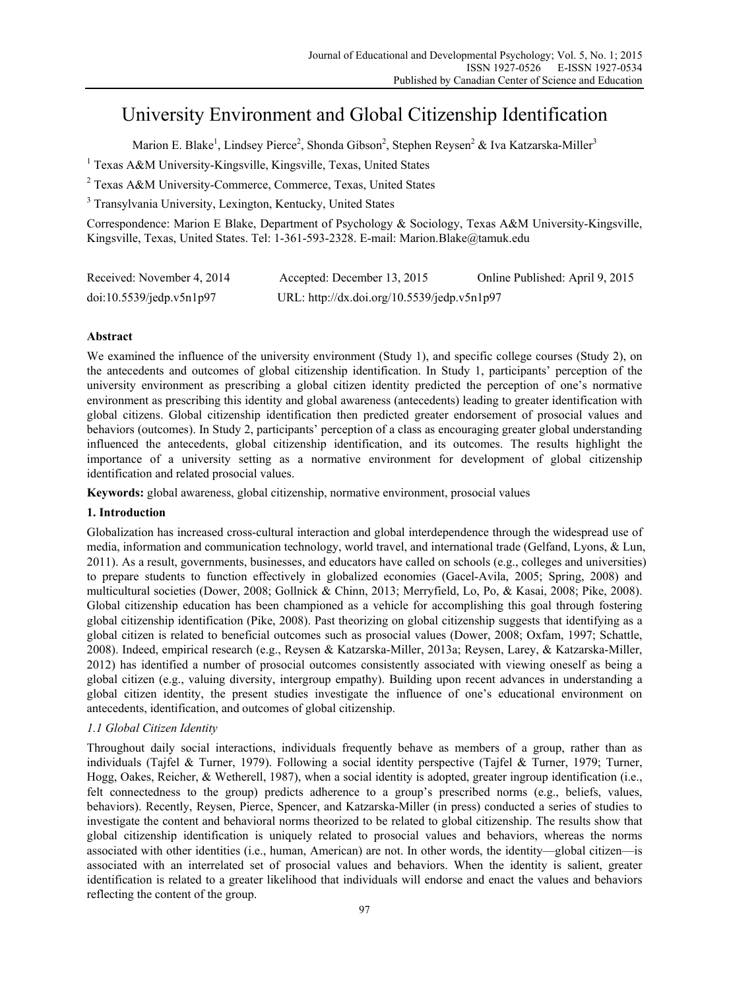# University Environment and Global Citizenship Identification

Marion E. Blake<sup>1</sup>, Lindsey Pierce<sup>2</sup>, Shonda Gibson<sup>2</sup>, Stephen Reysen<sup>2</sup> & Iva Katzarska-Miller<sup>3</sup>

<sup>1</sup> Texas A&M University-Kingsville, Kingsville, Texas, United States

2 Texas A&M University-Commerce, Commerce, Texas, United States

<sup>3</sup> Transylvania University, Lexington, Kentucky, United States

Correspondence: Marion E Blake, Department of Psychology & Sociology, Texas A&M University-Kingsville, Kingsville, Texas, United States. Tel: 1-361-593-2328. E-mail: Marion.Blake@tamuk.edu

| Received: November 4, 2014 | Accepted: December 13, 2015                 | Online Published: April 9, 2015 |
|----------------------------|---------------------------------------------|---------------------------------|
| doi:10.5539/jedp.v5n1p97   | URL: http://dx.doi.org/10.5539/jedp.v5n1p97 |                                 |

# **Abstract**

We examined the influence of the university environment (Study 1), and specific college courses (Study 2), on the antecedents and outcomes of global citizenship identification. In Study 1, participants' perception of the university environment as prescribing a global citizen identity predicted the perception of one's normative environment as prescribing this identity and global awareness (antecedents) leading to greater identification with global citizens. Global citizenship identification then predicted greater endorsement of prosocial values and behaviors (outcomes). In Study 2, participants' perception of a class as encouraging greater global understanding influenced the antecedents, global citizenship identification, and its outcomes. The results highlight the importance of a university setting as a normative environment for development of global citizenship identification and related prosocial values.

**Keywords:** global awareness, global citizenship, normative environment, prosocial values

# **1. Introduction**

Globalization has increased cross-cultural interaction and global interdependence through the widespread use of media, information and communication technology, world travel, and international trade (Gelfand, Lyons, & Lun, 2011). As a result, governments, businesses, and educators have called on schools (e.g., colleges and universities) to prepare students to function effectively in globalized economies (Gacel-Avila, 2005; Spring, 2008) and multicultural societies (Dower, 2008; Gollnick & Chinn, 2013; Merryfield, Lo, Po, & Kasai, 2008; Pike, 2008). Global citizenship education has been championed as a vehicle for accomplishing this goal through fostering global citizenship identification (Pike, 2008). Past theorizing on global citizenship suggests that identifying as a global citizen is related to beneficial outcomes such as prosocial values (Dower, 2008; Oxfam, 1997; Schattle, 2008). Indeed, empirical research (e.g., Reysen & Katzarska-Miller, 2013a; Reysen, Larey, & Katzarska-Miller, 2012) has identified a number of prosocial outcomes consistently associated with viewing oneself as being a global citizen (e.g., valuing diversity, intergroup empathy). Building upon recent advances in understanding a global citizen identity, the present studies investigate the influence of one's educational environment on antecedents, identification, and outcomes of global citizenship.

# *1.1 Global Citizen Identity*

Throughout daily social interactions, individuals frequently behave as members of a group, rather than as individuals (Tajfel & Turner, 1979). Following a social identity perspective (Tajfel & Turner, 1979; Turner, Hogg, Oakes, Reicher, & Wetherell, 1987), when a social identity is adopted, greater ingroup identification (i.e., felt connectedness to the group) predicts adherence to a group's prescribed norms (e.g., beliefs, values, behaviors). Recently, Reysen, Pierce, Spencer, and Katzarska-Miller (in press) conducted a series of studies to investigate the content and behavioral norms theorized to be related to global citizenship. The results show that global citizenship identification is uniquely related to prosocial values and behaviors, whereas the norms associated with other identities (i.e., human, American) are not. In other words, the identity—global citizen—is associated with an interrelated set of prosocial values and behaviors. When the identity is salient, greater identification is related to a greater likelihood that individuals will endorse and enact the values and behaviors reflecting the content of the group.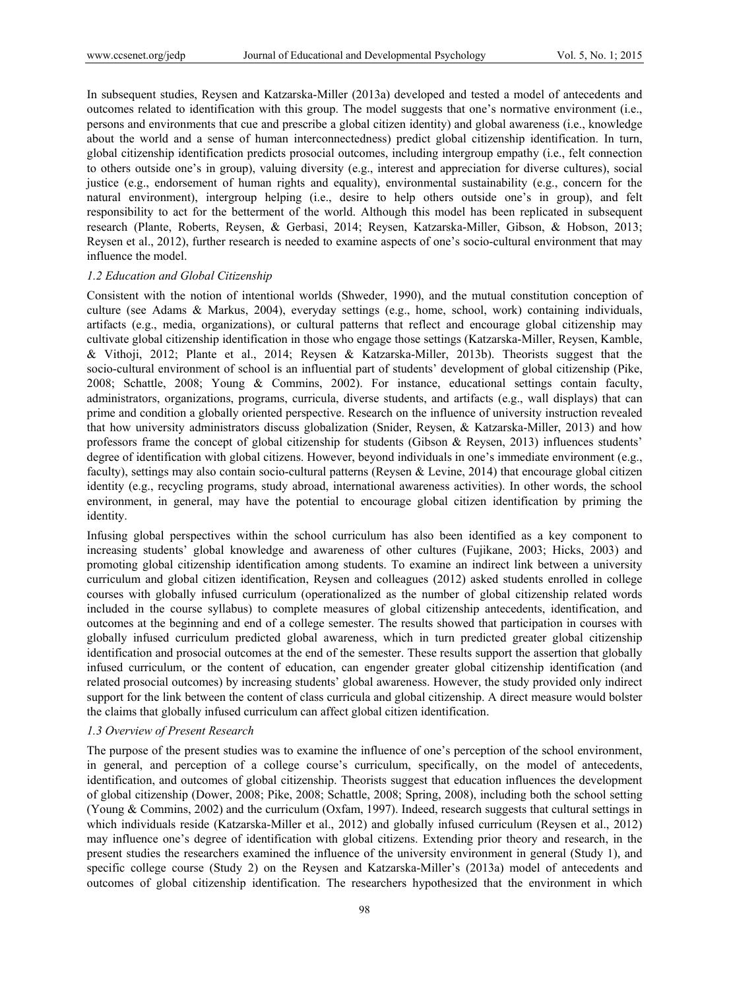In subsequent studies, Reysen and Katzarska-Miller (2013a) developed and tested a model of antecedents and outcomes related to identification with this group. The model suggests that one's normative environment (i.e., persons and environments that cue and prescribe a global citizen identity) and global awareness (i.e., knowledge about the world and a sense of human interconnectedness) predict global citizenship identification. In turn, global citizenship identification predicts prosocial outcomes, including intergroup empathy (i.e., felt connection to others outside one's in group), valuing diversity (e.g., interest and appreciation for diverse cultures), social justice (e.g., endorsement of human rights and equality), environmental sustainability (e.g., concern for the natural environment), intergroup helping (i.e., desire to help others outside one's in group), and felt responsibility to act for the betterment of the world. Although this model has been replicated in subsequent research (Plante, Roberts, Reysen, & Gerbasi, 2014; Reysen, Katzarska-Miller, Gibson, & Hobson, 2013; Reysen et al., 2012), further research is needed to examine aspects of one's socio-cultural environment that may influence the model.

#### *1.2 Education and Global Citizenship*

Consistent with the notion of intentional worlds (Shweder, 1990), and the mutual constitution conception of culture (see Adams & Markus, 2004), everyday settings (e.g., home, school, work) containing individuals, artifacts (e.g., media, organizations), or cultural patterns that reflect and encourage global citizenship may cultivate global citizenship identification in those who engage those settings (Katzarska-Miller, Reysen, Kamble, & Vithoji, 2012; Plante et al., 2014; Reysen & Katzarska-Miller, 2013b). Theorists suggest that the socio-cultural environment of school is an influential part of students' development of global citizenship (Pike, 2008; Schattle, 2008; Young & Commins, 2002). For instance, educational settings contain faculty, administrators, organizations, programs, curricula, diverse students, and artifacts (e.g., wall displays) that can prime and condition a globally oriented perspective. Research on the influence of university instruction revealed that how university administrators discuss globalization (Snider, Reysen, & Katzarska-Miller, 2013) and how professors frame the concept of global citizenship for students (Gibson & Reysen, 2013) influences students' degree of identification with global citizens. However, beyond individuals in one's immediate environment (e.g., faculty), settings may also contain socio-cultural patterns (Reysen & Levine, 2014) that encourage global citizen identity (e.g., recycling programs, study abroad, international awareness activities). In other words, the school environment, in general, may have the potential to encourage global citizen identification by priming the identity.

Infusing global perspectives within the school curriculum has also been identified as a key component to increasing students' global knowledge and awareness of other cultures (Fujikane, 2003; Hicks, 2003) and promoting global citizenship identification among students. To examine an indirect link between a university curriculum and global citizen identification, Reysen and colleagues (2012) asked students enrolled in college courses with globally infused curriculum (operationalized as the number of global citizenship related words included in the course syllabus) to complete measures of global citizenship antecedents, identification, and outcomes at the beginning and end of a college semester. The results showed that participation in courses with globally infused curriculum predicted global awareness, which in turn predicted greater global citizenship identification and prosocial outcomes at the end of the semester. These results support the assertion that globally infused curriculum, or the content of education, can engender greater global citizenship identification (and related prosocial outcomes) by increasing students' global awareness. However, the study provided only indirect support for the link between the content of class curricula and global citizenship. A direct measure would bolster the claims that globally infused curriculum can affect global citizen identification.

## *1.3 Overview of Present Research*

The purpose of the present studies was to examine the influence of one's perception of the school environment, in general, and perception of a college course's curriculum, specifically, on the model of antecedents, identification, and outcomes of global citizenship. Theorists suggest that education influences the development of global citizenship (Dower, 2008; Pike, 2008; Schattle, 2008; Spring, 2008), including both the school setting (Young & Commins, 2002) and the curriculum (Oxfam, 1997). Indeed, research suggests that cultural settings in which individuals reside (Katzarska-Miller et al., 2012) and globally infused curriculum (Reysen et al., 2012) may influence one's degree of identification with global citizens. Extending prior theory and research, in the present studies the researchers examined the influence of the university environment in general (Study 1), and specific college course (Study 2) on the Reysen and Katzarska-Miller's (2013a) model of antecedents and outcomes of global citizenship identification. The researchers hypothesized that the environment in which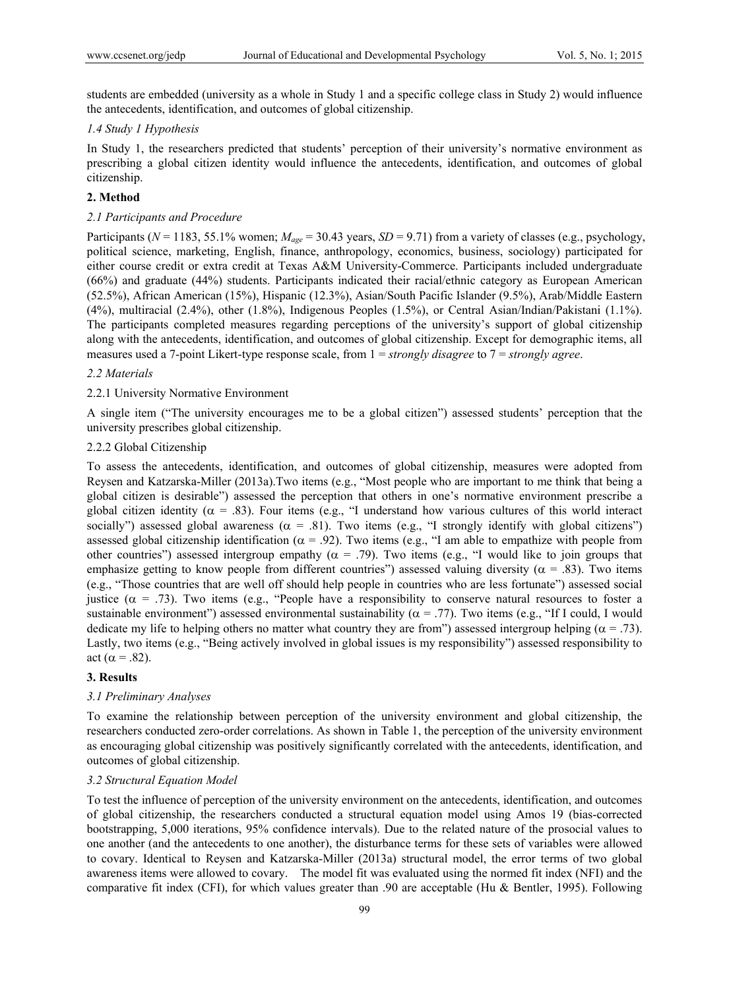students are embedded (university as a whole in Study 1 and a specific college class in Study 2) would influence the antecedents, identification, and outcomes of global citizenship.

## *1.4 Study 1 Hypothesis*

In Study 1, the researchers predicted that students' perception of their university's normative environment as prescribing a global citizen identity would influence the antecedents, identification, and outcomes of global citizenship.

## **2. Method**

## *2.1 Participants and Procedure*

Participants (*N* = 1183, 55.1% women;  $M_{\text{age}}$  = 30.43 years, *SD* = 9.71) from a variety of classes (e.g., psychology, political science, marketing, English, finance, anthropology, economics, business, sociology) participated for either course credit or extra credit at Texas A&M University-Commerce. Participants included undergraduate (66%) and graduate (44%) students. Participants indicated their racial/ethnic category as European American (52.5%), African American (15%), Hispanic (12.3%), Asian/South Pacific Islander (9.5%), Arab/Middle Eastern (4%), multiracial (2.4%), other (1.8%), Indigenous Peoples (1.5%), or Central Asian/Indian/Pakistani (1.1%). The participants completed measures regarding perceptions of the university's support of global citizenship along with the antecedents, identification, and outcomes of global citizenship. Except for demographic items, all measures used a 7-point Likert-type response scale, from 1 = *strongly disagree* to 7 = *strongly agree*.

## *2.2 Materials*

## 2.2.1 University Normative Environment

A single item ("The university encourages me to be a global citizen") assessed students' perception that the university prescribes global citizenship.

#### 2.2.2 Global Citizenship

To assess the antecedents, identification, and outcomes of global citizenship, measures were adopted from Reysen and Katzarska-Miller (2013a).Two items (e.g., "Most people who are important to me think that being a global citizen is desirable") assessed the perception that others in one's normative environment prescribe a global citizen identity ( $\alpha = .83$ ). Four items (e.g., "I understand how various cultures of this world interact socially") assessed global awareness ( $\alpha$  = .81). Two items (e.g., "I strongly identify with global citizens") assessed global citizenship identification ( $\alpha$  = .92). Two items (e.g., "I am able to empathize with people from other countries") assessed intergroup empathy ( $\alpha = .79$ ). Two items (e.g., "I would like to join groups that emphasize getting to know people from different countries") assessed valuing diversity ( $\alpha$  = .83). Two items (e.g., "Those countries that are well off should help people in countries who are less fortunate") assessed social justice ( $\alpha$  = .73). Two items (e.g., "People have a responsibility to conserve natural resources to foster a sustainable environment") assessed environmental sustainability ( $\alpha$  = .77). Two items (e.g., "If I could, I would dedicate my life to helping others no matter what country they are from") assessed intergroup helping ( $\alpha$  = .73). Lastly, two items (e.g., "Being actively involved in global issues is my responsibility") assessed responsibility to act ( $\alpha$  = .82).

# **3. Results**

## *3.1 Preliminary Analyses*

To examine the relationship between perception of the university environment and global citizenship, the researchers conducted zero-order correlations. As shown in Table 1, the perception of the university environment as encouraging global citizenship was positively significantly correlated with the antecedents, identification, and outcomes of global citizenship.

## *3.2 Structural Equation Model*

To test the influence of perception of the university environment on the antecedents, identification, and outcomes of global citizenship, the researchers conducted a structural equation model using Amos 19 (bias-corrected bootstrapping, 5,000 iterations, 95% confidence intervals). Due to the related nature of the prosocial values to one another (and the antecedents to one another), the disturbance terms for these sets of variables were allowed to covary. Identical to Reysen and Katzarska-Miller (2013a) structural model, the error terms of two global awareness items were allowed to covary. The model fit was evaluated using the normed fit index (NFI) and the comparative fit index (CFI), for which values greater than .90 are acceptable (Hu & Bentler, 1995). Following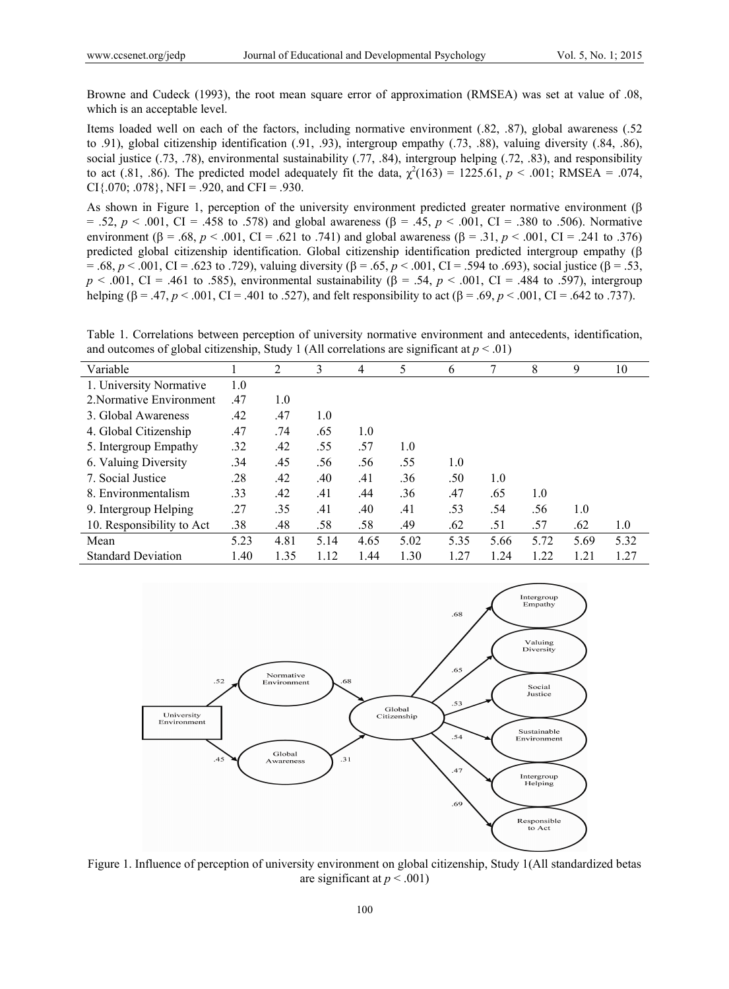Browne and Cudeck (1993), the root mean square error of approximation (RMSEA) was set at value of .08, which is an acceptable level.

Items loaded well on each of the factors, including normative environment (.82, .87), global awareness (.52 to .91), global citizenship identification (.91, .93), intergroup empathy (.73, .88), valuing diversity (.84, .86), social justice (.73, .78), environmental sustainability (.77, .84), intergroup helping (.72, .83), and responsibility to act (.81, .86). The predicted model adequately fit the data,  $\chi^2(163) = 1225.61$ ,  $p < .001$ ; RMSEA = .074, CI $\{0.70, 0.078\}$ , NFI = .920, and CFI = .930.

As shown in Figure 1, perception of the university environment predicted greater normative environment  $(\beta$  $= .52, p < .001, CI = .458$  to .578) and global awareness ( $\beta = .45, p < .001, CI = .380$  to .506). Normative environment ( $\beta = .68$ ,  $p < .001$ , CI = .621 to .741) and global awareness ( $\beta = .31$ ,  $p < .001$ , CI = .241 to .376) predicted global citizenship identification. Global citizenship identification predicted intergroup empathy (  $= .68, p < .001, CI = .623$  to .729), valuing diversity ( $\beta = .65, p < .001, CI = .594$  to .693), social justice ( $\beta = .53$ ,  $p \le 0.001$ , CI = .461 to .585), environmental sustainability ( $\beta$  = .54,  $p \le 0.001$ , CI = .484 to .597), intergroup helping ( $\beta = .47$ ,  $p < .001$ , CI = .401 to .527), and felt responsibility to act ( $\beta = .69$ ,  $p < .001$ , CI = .642 to .737).

Table 1. Correlations between perception of university normative environment and antecedents, identification, and outcomes of global citizenship, Study 1 (All correlations are significant at  $p < .01$ )

| Variable                  |      | 2    | 3    | 4    | 5    | 6    | 7    | 8    | 9    | 10   |
|---------------------------|------|------|------|------|------|------|------|------|------|------|
| 1. University Normative   | 1.0  |      |      |      |      |      |      |      |      |      |
| 2. Normative Environment  | .47  | 1.0  |      |      |      |      |      |      |      |      |
| 3. Global Awareness       | .42  | .47  | 1.0  |      |      |      |      |      |      |      |
| 4. Global Citizenship     | .47  | .74  | .65  | 1.0  |      |      |      |      |      |      |
| 5. Intergroup Empathy     | .32  | .42  | .55  | .57  | 1.0  |      |      |      |      |      |
| 6. Valuing Diversity      | .34  | .45  | .56  | .56  | .55  | 1.0  |      |      |      |      |
| 7. Social Justice         | .28  | .42  | .40  | .41  | .36  | .50  | 1.0  |      |      |      |
| 8. Environmentalism       | .33  | .42  | .41  | .44  | .36  | .47  | .65  | 1.0  |      |      |
| 9. Intergroup Helping     | .27  | .35  | .41  | .40  | .41  | .53  | .54  | .56  | 1.0  |      |
| 10. Responsibility to Act | .38  | .48  | .58  | .58  | .49  | .62  | .51  | .57  | .62  | 1.0  |
| Mean                      | 5.23 | 4.81 | 5.14 | 4.65 | 5.02 | 5.35 | 5.66 | 5.72 | 5.69 | 5.32 |
| <b>Standard Deviation</b> | 1.40 | 1.35 | 1.12 | 1.44 | 1.30 | 1.27 | 1.24 | 1.22 | 1.21 | 1.27 |



Figure 1. Influence of perception of university environment on global citizenship, Study 1(All standardized betas are significant at  $p < .001$ )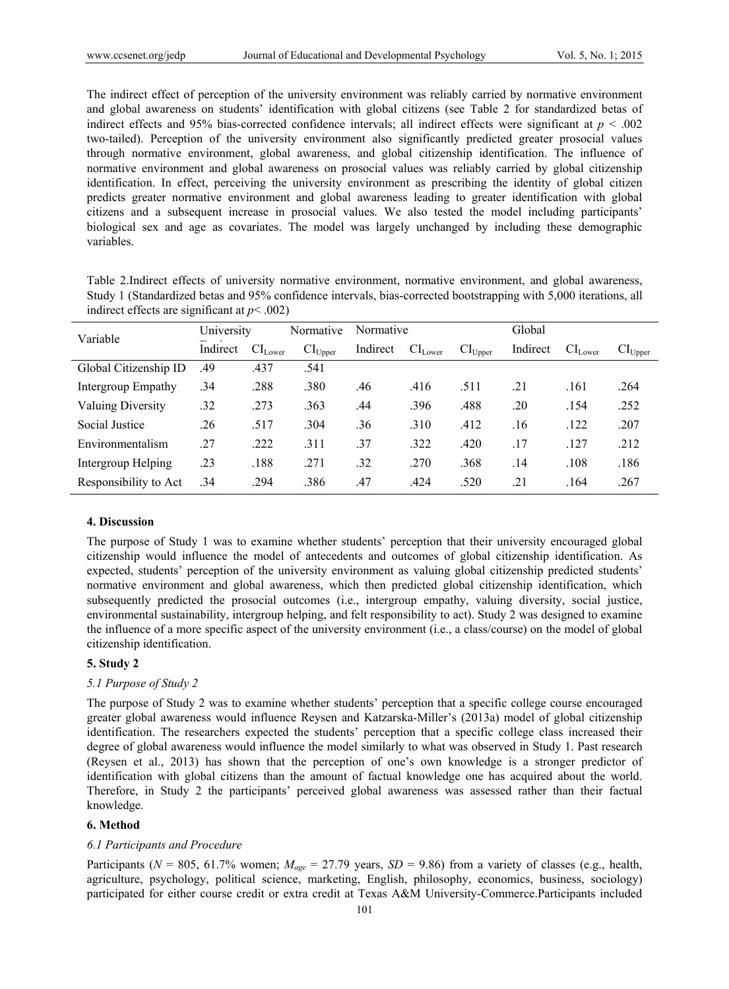The indirect effect of perception of the university environment was reliably carried by normative environment and global awareness on students' identification with global citizens (see Table 2 for standardized betas of indirect effects and 95% bias-corrected confidence intervals; all indirect effects were significant at *p* < .002 two-tailed). Perception of the university environment also significantly predicted greater prosocial values through normative environment, global awareness, and global citizenship identification. The influence of normative environment and global awareness on prosocial values was reliably carried by global citizenship identification. In effect, perceiving the university environment as prescribing the identity of global citizen predicts greater normative environment and global awareness leading to greater identification with global citizens and a subsequent increase in prosocial values. We also tested the model including participants' biological sex and age as covariates. The model was largely unchanged by including these demographic variables.

Table 2.Indirect effects of university normative environment, normative environment, and global awareness, Study 1 (Standardized betas and 95% confidence intervals, bias-corrected bootstrapping with 5,000 iterations, all indirect effects are significant at  $p$  < .002)

| Variable                 | University |                  | Normative    | Normative |                     |              | Global   |              |                            |  |
|--------------------------|------------|------------------|--------------|-----------|---------------------|--------------|----------|--------------|----------------------------|--|
|                          | Indirect   | $\rm CI_{Lower}$ | $CI_{Upper}$ | Indirect  | CI <sub>Lower</sub> | $CI_{Upper}$ | Indirect | $CI_{Lower}$ | $\text{CI}_{\text{Upper}}$ |  |
| Global Citizenship ID    | .49        | .437             | .541         |           |                     |              |          |              |                            |  |
| Intergroup Empathy       | .34        | .288             | .380         | .46       | .416                | .511         | .21      | .161         | .264                       |  |
| <b>Valuing Diversity</b> | .32        | .273             | .363         | .44       | .396                | .488         | .20      | .154         | .252                       |  |
| Social Justice           | .26        | .517             | .304         | .36       | .310                | .412         | .16      | .122         | .207                       |  |
| Environmentalism         | .27        | .222             | .311         | .37       | .322                | .420         | .17      | .127         | .212                       |  |
| Intergroup Helping       | .23        | .188             | .271         | .32       | .270                | .368         | .14      | .108         | .186                       |  |
| Responsibility to Act    | .34        | .294             | .386         | .47       | .424                | .520         | .21      | .164         | .267                       |  |

## **4. Discussion**

The purpose of Study 1 was to examine whether students' perception that their university encouraged global citizenship would influence the model of antecedents and outcomes of global citizenship identification. As expected, students' perception of the university environment as valuing global citizenship predicted students' normative environment and global awareness, which then predicted global citizenship identification, which subsequently predicted the prosocial outcomes (i.e., intergroup empathy, valuing diversity, social justice, environmental sustainability, intergroup helping, and felt responsibility to act). Study 2 was designed to examine the influence of a more specific aspect of the university environment (i.e., a class/course) on the model of global citizenship identification.

# **5. Study 2**

## *5.1 Purpose of Study 2*

The purpose of Study 2 was to examine whether students' perception that a specific college course encouraged greater global awareness would influence Reysen and Katzarska-Miller's (2013a) model of global citizenship identification. The researchers expected the students' perception that a specific college class increased their degree of global awareness would influence the model similarly to what was observed in Study 1. Past research (Reysen et al., 2013) has shown that the perception of one's own knowledge is a stronger predictor of identification with global citizens than the amount of factual knowledge one has acquired about the world. Therefore, in Study 2 the participants' perceived global awareness was assessed rather than their factual knowledge.

# **6. Method**

## *6.1 Participants and Procedure*

Participants ( $N = 805$ , 61.7% women;  $M_{age} = 27.79$  years,  $SD = 9.86$ ) from a variety of classes (e.g., health, agriculture, psychology, political science, marketing, English, philosophy, economics, business, sociology) participated for either course credit or extra credit at Texas A&M University-Commerce.Participants included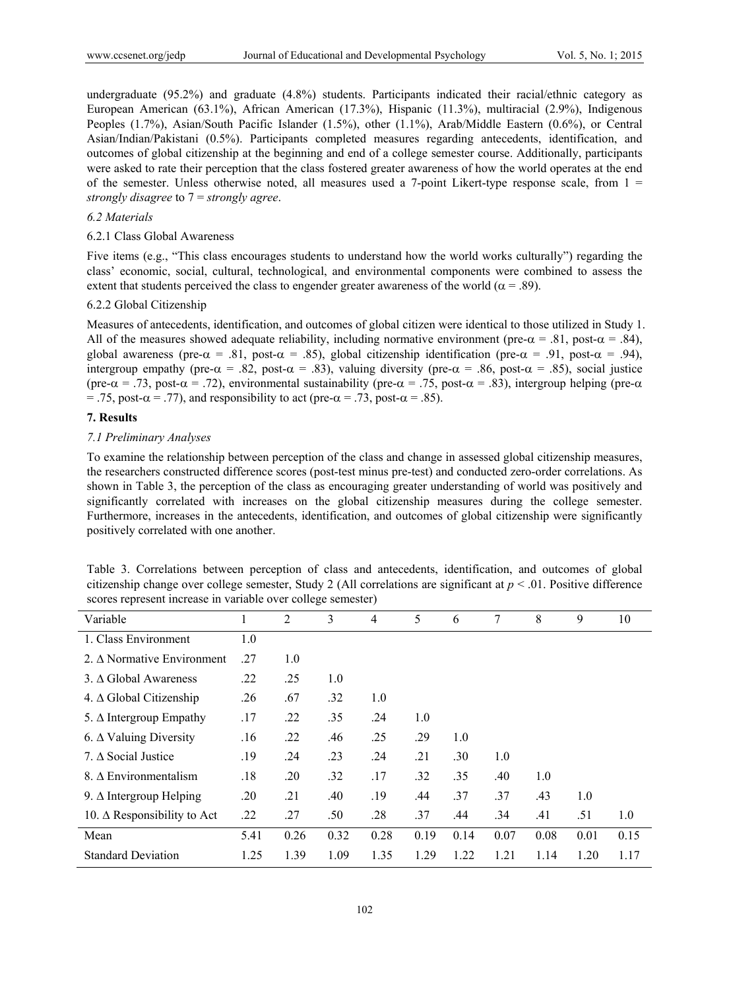undergraduate (95.2%) and graduate (4.8%) students. Participants indicated their racial/ethnic category as European American (63.1%), African American (17.3%), Hispanic (11.3%), multiracial (2.9%), Indigenous Peoples (1.7%), Asian/South Pacific Islander (1.5%), other (1.1%), Arab/Middle Eastern (0.6%), or Central Asian/Indian/Pakistani (0.5%). Participants completed measures regarding antecedents, identification, and outcomes of global citizenship at the beginning and end of a college semester course. Additionally, participants were asked to rate their perception that the class fostered greater awareness of how the world operates at the end of the semester. Unless otherwise noted, all measures used a 7-point Likert-type response scale, from  $1 =$ *strongly disagree* to 7 = *strongly agree*.

# *6.2 Materials*

# 6.2.1 Class Global Awareness

Five items (e.g., "This class encourages students to understand how the world works culturally") regarding the class' economic, social, cultural, technological, and environmental components were combined to assess the extent that students perceived the class to engender greater awareness of the world ( $\alpha$  = .89).

# 6.2.2 Global Citizenship

Measures of antecedents, identification, and outcomes of global citizen were identical to those utilized in Study 1. All of the measures showed adequate reliability, including normative environment (pre- $\alpha = .81$ , post- $\alpha = .84$ ), global awareness (pre- $\alpha$  = .81, post- $\alpha$  = .85), global citizenship identification (pre- $\alpha$  = .91, post- $\alpha$  = .94), intergroup empathy (pre- $\alpha = .82$ , post- $\alpha = .83$ ), valuing diversity (pre- $\alpha = .86$ , post- $\alpha = .85$ ), social justice (pre- $\alpha$  = .73, post- $\alpha$  = .72), environmental sustainability (pre- $\alpha$  = .75, post- $\alpha$  = .83), intergroup helping (pre- $\alpha$ ) = .75, post- $\alpha$  = .77), and responsibility to act (pre- $\alpha$  = .73, post- $\alpha$  = .85).

## **7. Results**

# *7.1 Preliminary Analyses*

To examine the relationship between perception of the class and change in assessed global citizenship measures, the researchers constructed difference scores (post-test minus pre-test) and conducted zero-order correlations. As shown in Table 3, the perception of the class as encouraging greater understanding of world was positively and significantly correlated with increases on the global citizenship measures during the college semester. Furthermore, increases in the antecedents, identification, and outcomes of global citizenship were significantly positively correlated with one another.

|                                                              |  |  |  | Table 3. Correlations between perception of class and antecedents, identification, and outcomes of global               |  |  |
|--------------------------------------------------------------|--|--|--|-------------------------------------------------------------------------------------------------------------------------|--|--|
|                                                              |  |  |  | citizenship change over college semester, Study 2 (All correlations are significant at $p < 0.01$ . Positive difference |  |  |
| scores represent increase in variable over college semester) |  |  |  |                                                                                                                         |  |  |

| Variable                           |      | 2    | 3    | 4    | 5    | 6    | 7    | 8    | 9    | 10   |
|------------------------------------|------|------|------|------|------|------|------|------|------|------|
| 1. Class Environment               | 1.0  |      |      |      |      |      |      |      |      |      |
| 2. A Normative Environment         | .27  | 1.0  |      |      |      |      |      |      |      |      |
| 3. A Global Awareness              | .22  | .25  | 1.0  |      |      |      |      |      |      |      |
| 4. $\Delta$ Global Citizenship     | .26  | .67  | .32  | 1.0  |      |      |      |      |      |      |
| 5. $\Delta$ Intergroup Empathy     | .17  | .22  | .35  | .24  | 1.0  |      |      |      |      |      |
| 6. $\Delta$ Valuing Diversity      | .16  | .22  | .46  | .25  | .29  | 1.0  |      |      |      |      |
| 7. $\triangle$ Social Justice      | .19  | .24  | .23  | .24  | .21  | .30  | 1.0  |      |      |      |
| 8. A Environmentalism              | .18  | .20  | .32  | .17  | .32  | .35  | .40  | 1.0  |      |      |
| 9. $\Delta$ Intergroup Helping     | .20  | .21  | .40  | .19  | .44  | .37  | .37  | .43  | 1.0  |      |
| 10. $\Delta$ Responsibility to Act | .22  | .27  | .50  | .28  | .37  | .44  | .34  | .41  | .51  | 1.0  |
| Mean                               | 5.41 | 0.26 | 0.32 | 0.28 | 0.19 | 0.14 | 0.07 | 0.08 | 0.01 | 0.15 |
| <b>Standard Deviation</b>          | 1.25 | 1.39 | 1.09 | 1.35 | 1.29 | 1.22 | 1.21 | 1.14 | 1.20 | 1.17 |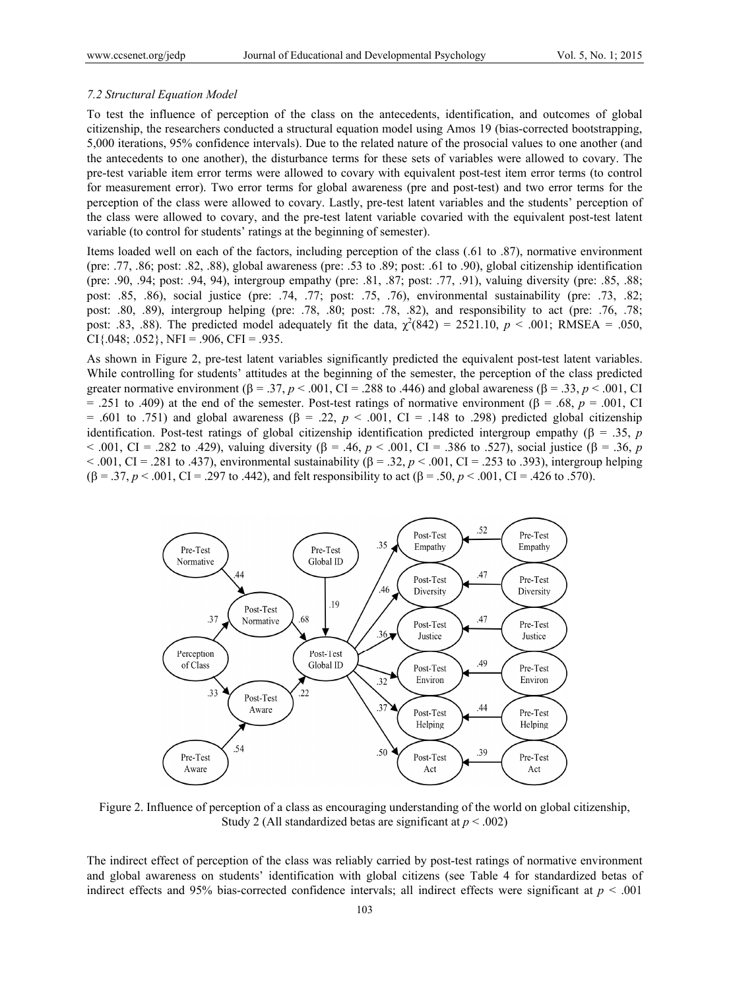## *7.2 Structural Equation Model*

To test the influence of perception of the class on the antecedents, identification, and outcomes of global citizenship, the researchers conducted a structural equation model using Amos 19 (bias-corrected bootstrapping, 5,000 iterations, 95% confidence intervals). Due to the related nature of the prosocial values to one another (and the antecedents to one another), the disturbance terms for these sets of variables were allowed to covary. The pre-test variable item error terms were allowed to covary with equivalent post-test item error terms (to control for measurement error). Two error terms for global awareness (pre and post-test) and two error terms for the perception of the class were allowed to covary. Lastly, pre-test latent variables and the students' perception of the class were allowed to covary, and the pre-test latent variable covaried with the equivalent post-test latent variable (to control for students' ratings at the beginning of semester).

Items loaded well on each of the factors, including perception of the class (.61 to .87), normative environment (pre: .77, .86; post: .82, .88), global awareness (pre: .53 to .89; post: .61 to .90), global citizenship identification (pre: .90, .94; post: .94, 94), intergroup empathy (pre: .81, .87; post: .77, .91), valuing diversity (pre: .85, .88; post: .85, .86), social justice (pre: .74, .77; post: .75, .76), environmental sustainability (pre: .73, .82; post: .80, .89), intergroup helping (pre: .78, .80; post: .78, .82), and responsibility to act (pre: .76, .78; post: .83, .88). The predicted model adequately fit the data,  $\chi^2(842) = 2521.10$ ,  $p < .001$ ; RMSEA = .050,  $CI\{.048; .052\}$ ,  $NFI = .906$ ,  $CFI = .935$ .

As shown in Figure 2, pre-test latent variables significantly predicted the equivalent post-test latent variables. While controlling for students' attitudes at the beginning of the semester, the perception of the class predicted greater normative environment ( $\beta = .37$ ,  $p < .001$ , CI = .288 to .446) and global awareness ( $\beta = .33$ ,  $p < .001$ , CI = .251 to .409) at the end of the semester. Post-test ratings of normative environment ( $\beta$  = .68,  $p$  = .001, CI = .601 to .751) and global awareness ( $\beta$  = .22,  $p < .001$ , CI = .148 to .298) predicted global citizenship identification. Post-test ratings of global citizenship identification predicted intergroup empathy  $(\beta = .35, p)$  $< .001$ , CI = .282 to .429), valuing diversity ( $\beta$  = .46,  $p < .001$ , CI = .386 to .527), social justice ( $\beta$  = .36, *p*  $< .001$ , CI = .281 to .437), environmental sustainability ( $\beta$  = .32,  $p$  < .001, CI = .253 to .393), intergroup helping  $(\beta = .37, p < .001, CI = .297$  to .442), and felt responsibility to act  $(\beta = .50, p < .001, CI = .426$  to .570).



Figure 2. Influence of perception of a class as encouraging understanding of the world on global citizenship, Study 2 (All standardized betas are significant at *p* < .002)

The indirect effect of perception of the class was reliably carried by post-test ratings of normative environment and global awareness on students' identification with global citizens (see Table 4 for standardized betas of indirect effects and 95% bias-corrected confidence intervals; all indirect effects were significant at  $p < .001$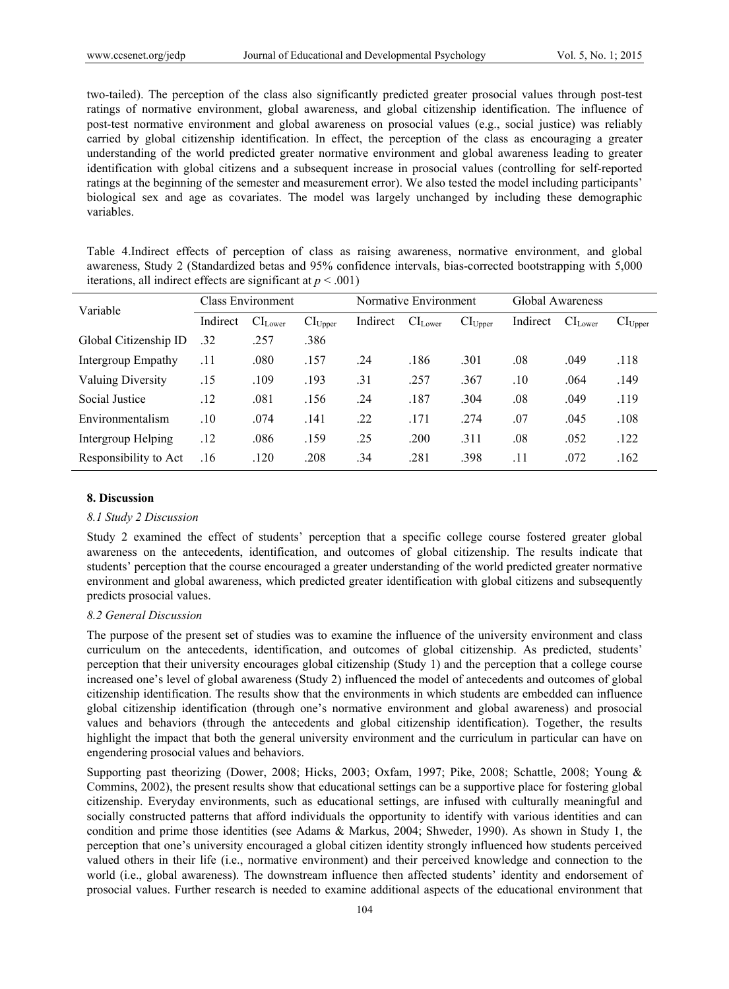two-tailed). The perception of the class also significantly predicted greater prosocial values through post-test ratings of normative environment, global awareness, and global citizenship identification. The influence of post-test normative environment and global awareness on prosocial values (e.g., social justice) was reliably carried by global citizenship identification. In effect, the perception of the class as encouraging a greater understanding of the world predicted greater normative environment and global awareness leading to greater identification with global citizens and a subsequent increase in prosocial values (controlling for self-reported ratings at the beginning of the semester and measurement error). We also tested the model including participants' biological sex and age as covariates. The model was largely unchanged by including these demographic variables.

Table 4.Indirect effects of perception of class as raising awareness, normative environment, and global awareness, Study 2 (Standardized betas and 95% confidence intervals, bias-corrected bootstrapping with 5,000 iterations, all indirect effects are significant at  $p < .001$ )

| Variable                 |          | <b>Class Environment</b> |              |            | Normative Environment |                     | Global Awareness |                     |              |  |
|--------------------------|----------|--------------------------|--------------|------------|-----------------------|---------------------|------------------|---------------------|--------------|--|
|                          | Indirect | CI <sub>Lower</sub>      | $CI_{Upper}$ | Indirect   | CI <sub>Lower</sub>   | CI <sub>Upper</sub> | Indirect         | CI <sub>Lower</sub> | $CI_{Upper}$ |  |
| Global Citizenship ID    | .32      | .257                     | .386         |            |                       |                     |                  |                     |              |  |
| Intergroup Empathy       | .11      | .080                     | .157         | .24        | .186                  | .301                | .08              | .049                | .118         |  |
| <b>Valuing Diversity</b> | .15      | .109                     | .193         | $\cdot$ 31 | .257                  | .367                | .10              | .064                | .149         |  |
| Social Justice           | .12      | .081                     | .156         | .24        | .187                  | .304                | .08              | .049                | .119         |  |
| Environmentalism         | .10      | .074                     | .141         | .22        | .171                  | .274                | .07              | .045                | .108         |  |
| Intergroup Helping       | .12      | .086                     | .159         | .25        | .200                  | .311                | .08              | .052                | .122         |  |
| Responsibility to Act    | .16      | .120                     | .208         | .34        | .281                  | .398                | .11              | .072                | .162         |  |

# **8. Discussion**

## *8.1 Study 2 Discussion*

Study 2 examined the effect of students' perception that a specific college course fostered greater global awareness on the antecedents, identification, and outcomes of global citizenship. The results indicate that students' perception that the course encouraged a greater understanding of the world predicted greater normative environment and global awareness, which predicted greater identification with global citizens and subsequently predicts prosocial values.

## *8.2 General Discussion*

The purpose of the present set of studies was to examine the influence of the university environment and class curriculum on the antecedents, identification, and outcomes of global citizenship. As predicted, students' perception that their university encourages global citizenship (Study 1) and the perception that a college course increased one's level of global awareness (Study 2) influenced the model of antecedents and outcomes of global citizenship identification. The results show that the environments in which students are embedded can influence global citizenship identification (through one's normative environment and global awareness) and prosocial values and behaviors (through the antecedents and global citizenship identification). Together, the results highlight the impact that both the general university environment and the curriculum in particular can have on engendering prosocial values and behaviors.

Supporting past theorizing (Dower, 2008; Hicks, 2003; Oxfam, 1997; Pike, 2008; Schattle, 2008; Young & Commins, 2002), the present results show that educational settings can be a supportive place for fostering global citizenship. Everyday environments, such as educational settings, are infused with culturally meaningful and socially constructed patterns that afford individuals the opportunity to identify with various identities and can condition and prime those identities (see Adams & Markus, 2004; Shweder, 1990). As shown in Study 1, the perception that one's university encouraged a global citizen identity strongly influenced how students perceived valued others in their life (i.e., normative environment) and their perceived knowledge and connection to the world (i.e., global awareness). The downstream influence then affected students' identity and endorsement of prosocial values. Further research is needed to examine additional aspects of the educational environment that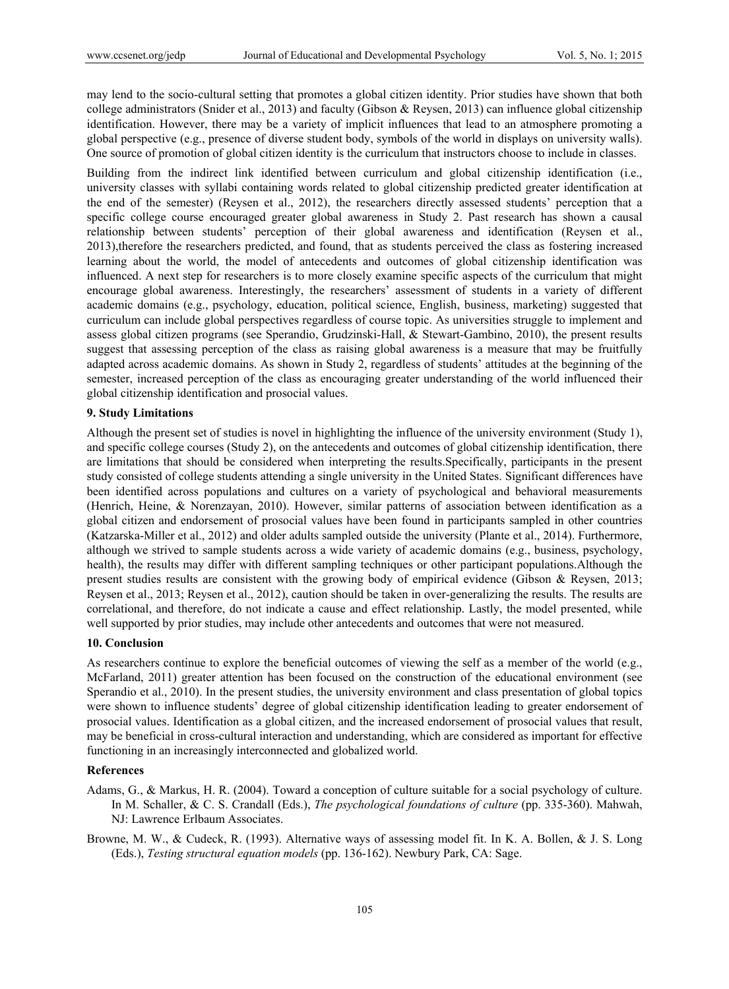may lend to the socio-cultural setting that promotes a global citizen identity. Prior studies have shown that both college administrators (Snider et al., 2013) and faculty (Gibson & Reysen, 2013) can influence global citizenship identification. However, there may be a variety of implicit influences that lead to an atmosphere promoting a global perspective (e.g., presence of diverse student body, symbols of the world in displays on university walls). One source of promotion of global citizen identity is the curriculum that instructors choose to include in classes.

Building from the indirect link identified between curriculum and global citizenship identification (i.e., university classes with syllabi containing words related to global citizenship predicted greater identification at the end of the semester) (Reysen et al., 2012), the researchers directly assessed students' perception that a specific college course encouraged greater global awareness in Study 2. Past research has shown a causal relationship between students' perception of their global awareness and identification (Reysen et al., 2013),therefore the researchers predicted, and found, that as students perceived the class as fostering increased learning about the world, the model of antecedents and outcomes of global citizenship identification was influenced. A next step for researchers is to more closely examine specific aspects of the curriculum that might encourage global awareness. Interestingly, the researchers' assessment of students in a variety of different academic domains (e.g., psychology, education, political science, English, business, marketing) suggested that curriculum can include global perspectives regardless of course topic. As universities struggle to implement and assess global citizen programs (see Sperandio, Grudzinski-Hall, & Stewart-Gambino, 2010), the present results suggest that assessing perception of the class as raising global awareness is a measure that may be fruitfully adapted across academic domains. As shown in Study 2, regardless of students' attitudes at the beginning of the semester, increased perception of the class as encouraging greater understanding of the world influenced their global citizenship identification and prosocial values.

# **9. Study Limitations**

Although the present set of studies is novel in highlighting the influence of the university environment (Study 1), and specific college courses (Study 2), on the antecedents and outcomes of global citizenship identification, there are limitations that should be considered when interpreting the results.Specifically, participants in the present study consisted of college students attending a single university in the United States. Significant differences have been identified across populations and cultures on a variety of psychological and behavioral measurements (Henrich, Heine, & Norenzayan, 2010). However, similar patterns of association between identification as a global citizen and endorsement of prosocial values have been found in participants sampled in other countries (Katzarska-Miller et al., 2012) and older adults sampled outside the university (Plante et al., 2014). Furthermore, although we strived to sample students across a wide variety of academic domains (e.g., business, psychology, health), the results may differ with different sampling techniques or other participant populations.Although the present studies results are consistent with the growing body of empirical evidence (Gibson & Reysen, 2013; Reysen et al., 2013; Reysen et al., 2012), caution should be taken in over-generalizing the results. The results are correlational, and therefore, do not indicate a cause and effect relationship. Lastly, the model presented, while well supported by prior studies, may include other antecedents and outcomes that were not measured.

## **10. Conclusion**

As researchers continue to explore the beneficial outcomes of viewing the self as a member of the world (e.g., McFarland, 2011) greater attention has been focused on the construction of the educational environment (see Sperandio et al., 2010). In the present studies, the university environment and class presentation of global topics were shown to influence students' degree of global citizenship identification leading to greater endorsement of prosocial values. Identification as a global citizen, and the increased endorsement of prosocial values that result, may be beneficial in cross-cultural interaction and understanding, which are considered as important for effective functioning in an increasingly interconnected and globalized world.

#### **References**

- Adams, G., & Markus, H. R. (2004). Toward a conception of culture suitable for a social psychology of culture. In M. Schaller, & C. S. Crandall (Eds.), *The psychological foundations of culture* (pp. 335-360). Mahwah, NJ: Lawrence Erlbaum Associates.
- Browne, M. W., & Cudeck, R. (1993). Alternative ways of assessing model fit. In K. A. Bollen, & J. S. Long (Eds.), *Testing structural equation models* (pp. 136-162). Newbury Park, CA: Sage.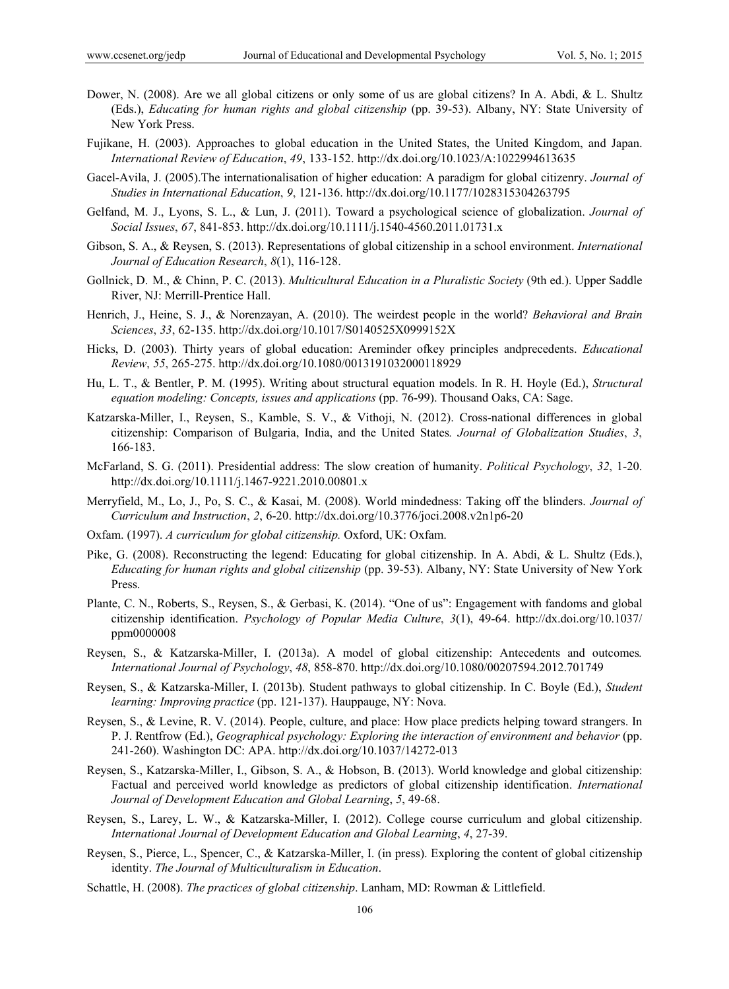- Dower, N. (2008). Are we all global citizens or only some of us are global citizens? In A. Abdi, & L. Shultz (Eds.), *Educating for human rights and global citizenship* (pp. 39-53). Albany, NY: State University of New York Press.
- Fujikane, H. (2003). Approaches to global education in the United States, the United Kingdom, and Japan. *International Review of Education*, *49*, 133-152. http://dx.doi.org/10.1023/A:1022994613635
- Gacel-Avila, J. (2005).The internationalisation of higher education: A paradigm for global citizenry. *Journal of Studies in International Education*, *9*, 121-136. http://dx.doi.org/10.1177/1028315304263795
- Gelfand, M. J., Lyons, S. L., & Lun, J. (2011). Toward a psychological science of globalization. *Journal of Social Issues*, *67*, 841-853. http://dx.doi.org/10.1111/j.1540-4560.2011.01731.x
- Gibson, S. A., & Reysen, S. (2013). Representations of global citizenship in a school environment. *International Journal of Education Research*, *8*(1), 116-128.
- Gollnick, D. M., & Chinn, P. C. (2013). *Multicultural Education in a Pluralistic Society* (9th ed.). Upper Saddle River, NJ: Merrill-Prentice Hall.
- Henrich, J., Heine, S. J., & Norenzayan, A. (2010). The weirdest people in the world? *Behavioral and Brain Sciences*, *33*, 62-135. http://dx.doi.org/10.1017/S0140525X0999152X
- Hicks, D. (2003). Thirty years of global education: Areminder ofkey principles andprecedents. *Educational Review*, *55*, 265-275. http://dx.doi.org/10.1080/0013191032000118929
- Hu, L. T., & Bentler, P. M. (1995). Writing about structural equation models. In R. H. Hoyle (Ed.), *Structural equation modeling: Concepts, issues and applications* (pp. 76-99). Thousand Oaks, CA: Sage.
- Katzarska-Miller, I., Reysen, S., Kamble, S. V., & Vithoji, N. (2012). Cross-national differences in global citizenship: Comparison of Bulgaria, India, and the United States*. Journal of Globalization Studies*, *3*, 166-183.
- McFarland, S. G. (2011). Presidential address: The slow creation of humanity. *Political Psychology*, *32*, 1-20. http://dx.doi.org/10.1111/j.1467-9221.2010.00801.x
- Merryfield, M., Lo, J., Po, S. C., & Kasai, M. (2008). World mindedness: Taking off the blinders. *Journal of Curriculum and Instruction*, *2*, 6-20. http://dx.doi.org/10.3776/joci.2008.v2n1p6-20
- Oxfam. (1997). *A curriculum for global citizenship.* Oxford, UK: Oxfam.
- Pike, G. (2008). Reconstructing the legend: Educating for global citizenship. In A. Abdi, & L. Shultz (Eds.), *Educating for human rights and global citizenship* (pp. 39-53). Albany, NY: State University of New York Press.
- Plante, C. N., Roberts, S., Reysen, S., & Gerbasi, K. (2014). "One of us": Engagement with fandoms and global citizenship identification. *Psychology of Popular Media Culture*, *3*(1), 49-64. http://dx.doi.org/10.1037/ ppm0000008
- Reysen, S., & Katzarska-Miller, I. (2013a). A model of global citizenship: Antecedents and outcomes*. International Journal of Psychology*, *48*, 858-870. http://dx.doi.org/10.1080/00207594.2012.701749
- Reysen, S., & Katzarska-Miller, I. (2013b). Student pathways to global citizenship. In C. Boyle (Ed.), *Student learning: Improving practice* (pp. 121-137). Hauppauge, NY: Nova.
- Reysen, S., & Levine, R. V. (2014). People, culture, and place: How place predicts helping toward strangers. In P. J. Rentfrow (Ed.), *Geographical psychology: Exploring the interaction of environment and behavior* (pp. 241-260). Washington DC: APA. http://dx.doi.org/10.1037/14272-013
- Reysen, S., Katzarska-Miller, I., Gibson, S. A., & Hobson, B. (2013). World knowledge and global citizenship: Factual and perceived world knowledge as predictors of global citizenship identification. *International Journal of Development Education and Global Learning*, *5*, 49-68.
- Reysen, S., Larey, L. W., & Katzarska-Miller, I. (2012). College course curriculum and global citizenship. *International Journal of Development Education and Global Learning*, *4*, 27-39.
- Reysen, S., Pierce, L., Spencer, C., & Katzarska-Miller, I. (in press). Exploring the content of global citizenship identity. *The Journal of Multiculturalism in Education*.
- Schattle, H. (2008). *The practices of global citizenship*. Lanham, MD: Rowman & Littlefield.